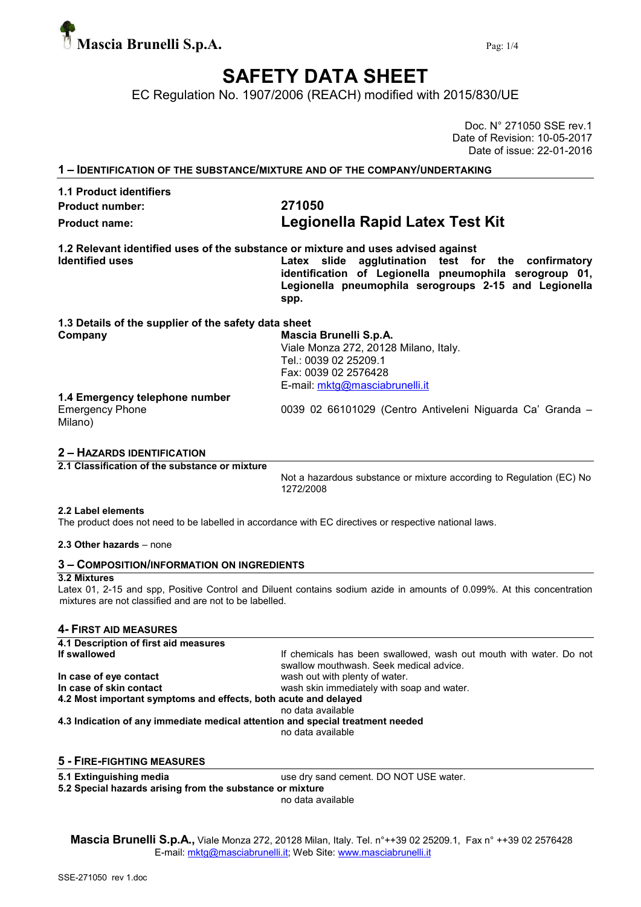

# SAFETY DATA SHEET

EC Regulation No. 1907/2006 (REACH) modified with 2015/830/UE

Doc. N° 271050 SSE rev.1 Date of Revision: 10-05-2017 Date of issue: 22-01-2016

1 – IDENTIFICATION OF THE SUBSTANCE/MIXTURE AND OF THE COMPANY/UNDERTAKING

## 1.1 Product identifiers Product number: 271050

# Product name: Legionella Rapid Latex Test Kit

1.2 Relevant identified uses of the substance or mixture and uses advised against Identified uses **Latex** slide agglutination test for the confirmatory

identification of Legionella pneumophila serogroup 01, Legionella pneumophila serogroups 2-15 and Legionella spp.

# 1.3 Details of the supplier of the safety data sheet

Company Mascia Brunelli S.p.A. Viale Monza 272, 20128 Milano, Italy. Tel.: 0039 02 25209.1 Fax: 0039 02 2576428 E-mail: mktg@masciabrunelli.it

## 1.4 Emergency telephone number

| ⊨mergen |  |
|---------|--|
| Milano) |  |

Emergency Phone 0039 02 66101029 (Centro Antiveleni Niguarda Ca' Granda –

### 2 – HAZARDS IDENTIFICATION

2.1 Classification of the substance or mixture

Not a hazardous substance or mixture according to Regulation (EC) No 1272/2008

#### 2.2 Label elements

The product does not need to be labelled in accordance with EC directives or respective national laws.

2.3 Other hazards – none

#### 3 – COMPOSITION/INFORMATION ON INGREDIENTS

#### 3.2 Mixtures

Latex 01, 2-15 and spp. Positive Control and Diluent contains sodium azide in amounts of 0.099%. At this concentration mixtures are not classified and are not to be labelled.

#### 4- FIRST AID MEASURES

4.1 Description of first aid measures<br>If swallowed If chemicals has been swallowed, wash out mouth with water. Do not swallow mouthwash. Seek medical advice. In case of eye contact **and the set of example 1** wash out with plenty of water. In case of skin contact wash skin immediately with soap and water. 4.2 Most important symptoms and effects, both acute and delayed no data available

4.3 Indication of any immediate medical attention and special treatment needed

no data available

# 5 - FIRE-FIGHTING MEASURES

**5.1 Extinguishing media** use dry sand cement. DO NOT USE water. 5.2 Special hazards arising from the substance or mixture

no data available

Mascia Brunelli S.p.A., Viale Monza 272, 20128 Milan, Italy. Tel. n°++39 02 25209.1, Fax n° ++39 02 2576428 E-mail: mktg@masciabrunelli.it; Web Site: www.masciabrunelli.it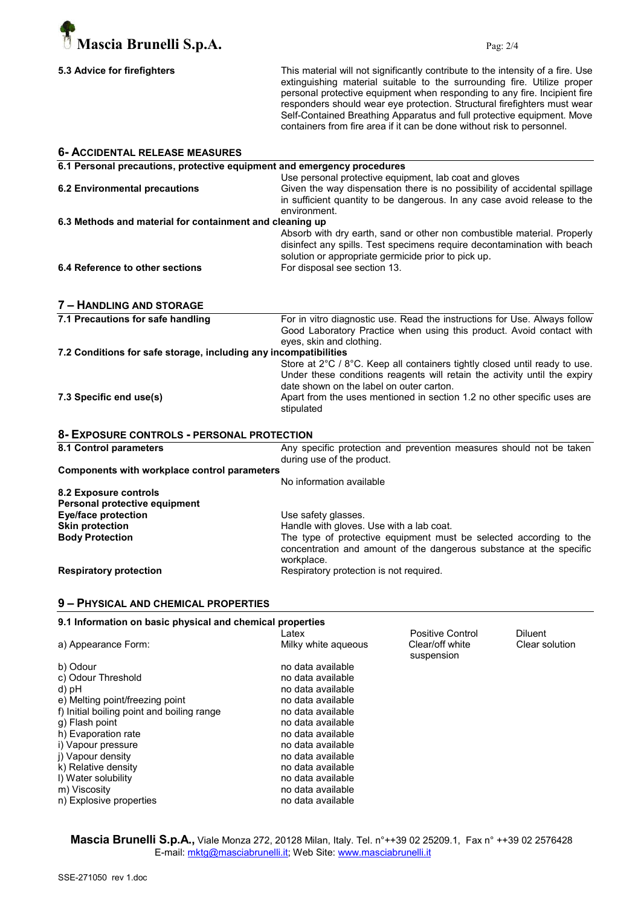

| 5.3 Advice for firefighters |  |
|-----------------------------|--|
|-----------------------------|--|

This material will not significantly contribute to the intensity of a fire. Use extinguishing material suitable to the surrounding fire. Utilize proper personal protective equipment when responding to any fire. Incipient fire responders should wear eye protection. Structural firefighters must wear Self-Contained Breathing Apparatus and full protective equipment. Move containers from fire area if it can be done without risk to personnel.

| <b>6- ACCIDENTAL RELEASE MEASURES</b>                                   |                                                                                                                                                       |
|-------------------------------------------------------------------------|-------------------------------------------------------------------------------------------------------------------------------------------------------|
| 6.1 Personal precautions, protective equipment and emergency procedures |                                                                                                                                                       |
|                                                                         | Use personal protective equipment, lab coat and gloves                                                                                                |
| <b>6.2 Environmental precautions</b>                                    | Given the way dispensation there is no possibility of accidental spillage<br>in sufficient quantity to be dangerous. In any case avoid release to the |
|                                                                         | environment.                                                                                                                                          |
| 6.3 Methods and material for containment and cleaning up                |                                                                                                                                                       |
|                                                                         | Absorb with dry earth, sand or other non combustible material. Properly<br>disinfect any spills. Test specimens require decontamination with beach    |
|                                                                         | solution or appropriate germicide prior to pick up.                                                                                                   |
| 6.4 Reference to other sections                                         | For disposal see section 13.                                                                                                                          |
| 7 - HANDLING AND STORAGE                                                |                                                                                                                                                       |
| 7.1 Precautions for safe handling                                       | For in vitro diagnostic use. Read the instructions for Use. Always follow                                                                             |
|                                                                         | Good Laboratory Practice when using this product. Avoid contact with<br>eyes, skin and clothing.                                                      |
| 7.2 Conditions for safe storage, including any incompatibilities        |                                                                                                                                                       |
|                                                                         | Store at 2°C / 8°C. Keep all containers tightly closed until ready to use.                                                                            |
|                                                                         | Under these conditions reagents will retain the activity until the expiry                                                                             |
|                                                                         | date shown on the label on outer carton.                                                                                                              |
| 7.3 Specific end use(s)                                                 | Apart from the uses mentioned in section 1.2 no other specific uses are<br>stipulated                                                                 |
| 8- EXPOSURE CONTROLS - PERSONAL PROTECTION                              |                                                                                                                                                       |
| 8.1 Control parameters                                                  | Any specific protection and prevention measures should not be taken                                                                                   |
|                                                                         | during use of the product.                                                                                                                            |
| Components with workplace control parameters                            |                                                                                                                                                       |
|                                                                         | No information available                                                                                                                              |
| 8.2 Exposure controls                                                   |                                                                                                                                                       |
| Personal protective equipment                                           |                                                                                                                                                       |
| <b>Eye/face protection</b><br><b>Skin protection</b>                    | Use safety glasses.<br>Handle with gloves. Use with a lab coat.                                                                                       |
| <b>Body Protection</b>                                                  | The type of protective equipment must be selected according to the                                                                                    |
|                                                                         | concentration and amount of the dangerous substance at the specific<br>workplace.                                                                     |
| <b>Respiratory protection</b>                                           | Respiratory protection is not required.                                                                                                               |
| 9 - PHYSICAL AND CHEMICAL PROPERTIES                                    |                                                                                                                                                       |
| 9.1 Information on basic physical and chemical properties               |                                                                                                                                                       |

| <u>an mnammanan an waalo birtalaan aha ahammaa bi'abarnaa</u> |                     |                               |                |
|---------------------------------------------------------------|---------------------|-------------------------------|----------------|
|                                                               | Latex               | Positive Control              | Diluent        |
| a) Appearance Form:                                           | Milky white agueous | Clear/off white<br>suspension | Clear solution |
| b) Odour                                                      | no data available   |                               |                |
| c) Odour Threshold                                            | no data available   |                               |                |
| d) pH                                                         | no data available   |                               |                |
| e) Melting point/freezing point                               | no data available   |                               |                |
| f) Initial boiling point and boiling range                    | no data available   |                               |                |
| g) Flash point                                                | no data available   |                               |                |
| h) Evaporation rate                                           | no data available   |                               |                |
| i) Vapour pressure                                            | no data available   |                               |                |
| i) Vapour density                                             | no data available   |                               |                |
| k) Relative density                                           | no data available   |                               |                |
| I) Water solubility                                           | no data available   |                               |                |
| m) Viscosity                                                  | no data available   |                               |                |
| n) Explosive properties                                       | no data available   |                               |                |
|                                                               |                     |                               |                |

Mascia Brunelli S.p.A., Viale Monza 272, 20128 Milan, Italy. Tel. n°++39 02 25209.1, Fax n° ++39 02 2576428 E-mail: mktg@masciabrunelli.it; Web Site: www.masciabrunelli.it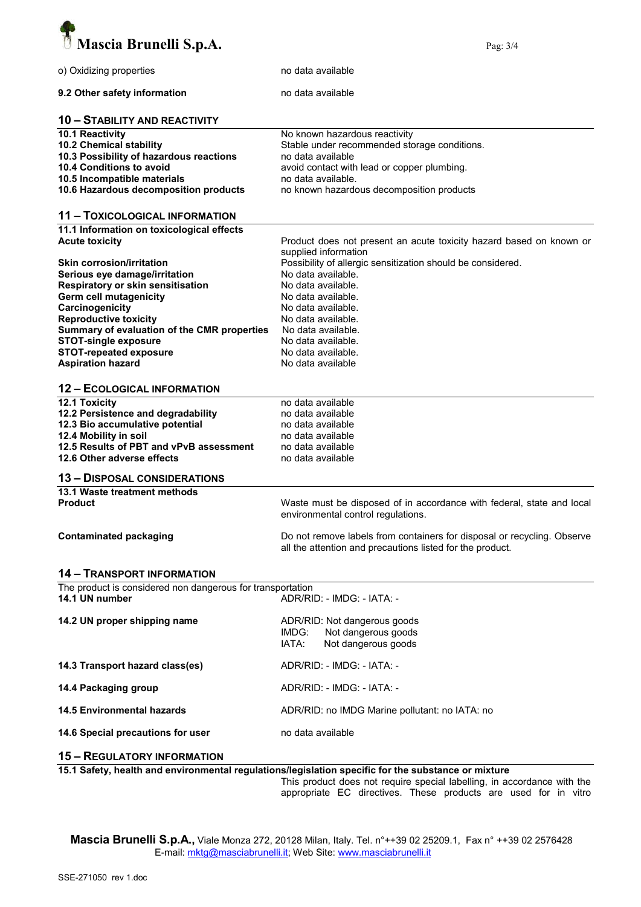

| o) Oxidizing properties                                    | no data available                                                                                           |
|------------------------------------------------------------|-------------------------------------------------------------------------------------------------------------|
| 9.2 Other safety information                               | no data available                                                                                           |
| <b>10 - STABILITY AND REACTIVITY</b>                       |                                                                                                             |
| 10.1 Reactivity                                            | No known hazardous reactivity                                                                               |
|                                                            |                                                                                                             |
| 10.2 Chemical stability                                    | Stable under recommended storage conditions.                                                                |
| 10.3 Possibility of hazardous reactions                    | no data available                                                                                           |
| 10.4 Conditions to avoid                                   | avoid contact with lead or copper plumbing.                                                                 |
| 10.5 Incompatible materials                                | no data available.                                                                                          |
| 10.6 Hazardous decomposition products                      | no known hazardous decomposition products                                                                   |
|                                                            |                                                                                                             |
| <b>11 - TOXICOLOGICAL INFORMATION</b>                      |                                                                                                             |
| 11.1 Information on toxicological effects                  |                                                                                                             |
| <b>Acute toxicity</b>                                      | Product does not present an acute toxicity hazard based on known or                                         |
|                                                            | supplied information                                                                                        |
| <b>Skin corrosion/irritation</b>                           | Possibility of allergic sensitization should be considered.                                                 |
| Serious eye damage/irritation                              | No data available.                                                                                          |
|                                                            |                                                                                                             |
| Respiratory or skin sensitisation                          | No data available.                                                                                          |
| Germ cell mutagenicity                                     | No data available.                                                                                          |
| Carcinogenicity                                            | No data available.                                                                                          |
| <b>Reproductive toxicity</b>                               | No data available.                                                                                          |
| Summary of evaluation of the CMR properties                | No data available.                                                                                          |
| <b>STOT-single exposure</b>                                | No data available.                                                                                          |
| <b>STOT-repeated exposure</b>                              | No data available.                                                                                          |
| <b>Aspiration hazard</b>                                   | No data available                                                                                           |
|                                                            |                                                                                                             |
| <b>12 - ECOLOGICAL INFORMATION</b>                         |                                                                                                             |
| 12.1 Toxicity                                              | no data available                                                                                           |
| 12.2 Persistence and degradability                         | no data available                                                                                           |
| 12.3 Bio accumulative potential                            | no data available                                                                                           |
| 12.4 Mobility in soil                                      | no data available                                                                                           |
| 12.5 Results of PBT and vPvB assessment                    | no data available                                                                                           |
| 12.6 Other adverse effects                                 | no data available                                                                                           |
|                                                            |                                                                                                             |
| <b>13 - DISPOSAL CONSIDERATIONS</b>                        |                                                                                                             |
| 13.1 Waste treatment methods                               |                                                                                                             |
| <b>Product</b>                                             | Waste must be disposed of in accordance with federal, state and local<br>environmental control regulations. |
|                                                            |                                                                                                             |
| <b>Contaminated packaging</b>                              | Do not remove labels from containers for disposal or recycling. Observe                                     |
|                                                            | all the attention and precautions listed for the product.                                                   |
| <b>14 - TRANSPORT INFORMATION</b>                          |                                                                                                             |
| The product is considered non dangerous for transportation |                                                                                                             |
| 14.1 UN number                                             | ADR/RID: - IMDG: - IATA: -                                                                                  |
| 14.2 UN proper shipping name                               | ADR/RID: Not dangerous goods                                                                                |
|                                                            | IMDG:<br>Not dangerous goods                                                                                |
|                                                            | IATA:<br>Not dangerous goods                                                                                |
|                                                            |                                                                                                             |
| 14.3 Transport hazard class(es)                            | ADR/RID: - IMDG: - IATA: -                                                                                  |
|                                                            |                                                                                                             |
| 14.4 Packaging group                                       | ADR/RID: - IMDG: - IATA: -                                                                                  |
| <b>14.5 Environmental hazards</b>                          | ADR/RID: no IMDG Marine pollutant: no IATA: no                                                              |
| 14.6 Special precautions for user                          | no data available                                                                                           |
| <b>15 - REGULATORY INFORMATION</b>                         |                                                                                                             |
|                                                            | 15.1 Safety, hoalth and environmental requistions/legislation specific for the substance or mixture         |

15.1 Safety, health and environmental regulations/legislation specific for the substance or mixture

This product does not require special labelling, in accordance with the appropriate EC directives. These products are used for in vitro

Mascia Brunelli S.p.A., Viale Monza 272, 20128 Milan, Italy. Tel. n°++39 02 25209.1, Fax n° ++39 02 2576428 E-mail: mktg@masciabrunelli.it; Web Site: www.masciabrunelli.it